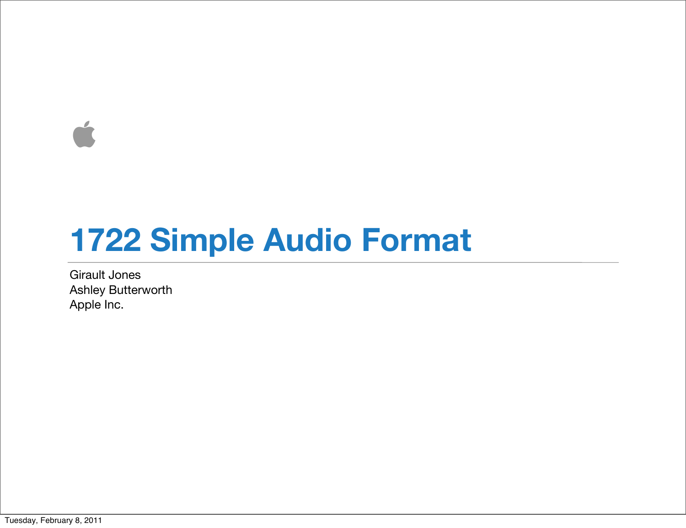$\overrightarrow{a}$ 

### **1722 Simple Audio Format**

Girault Jones Ashley Butterworth Apple Inc.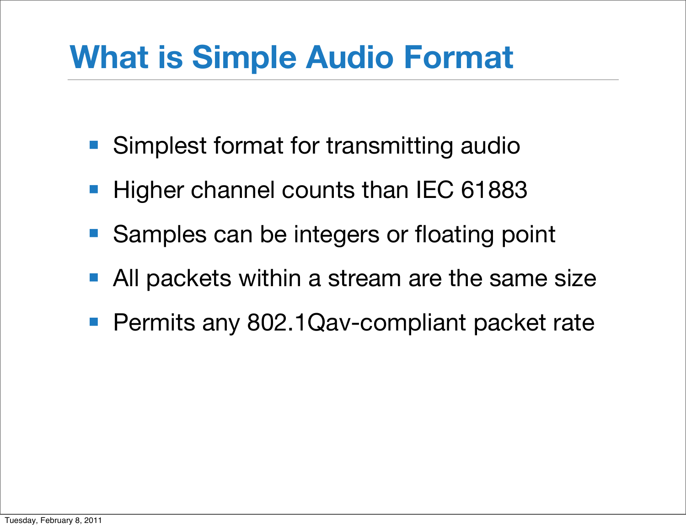# **What is Simple Audio Format**

- Simplest format for transmitting audio
- Higher channel counts than IEC 61883
- Samples can be integers or floating point
- All packets within a stream are the same size
- Permits any 802.1Qav-compliant packet rate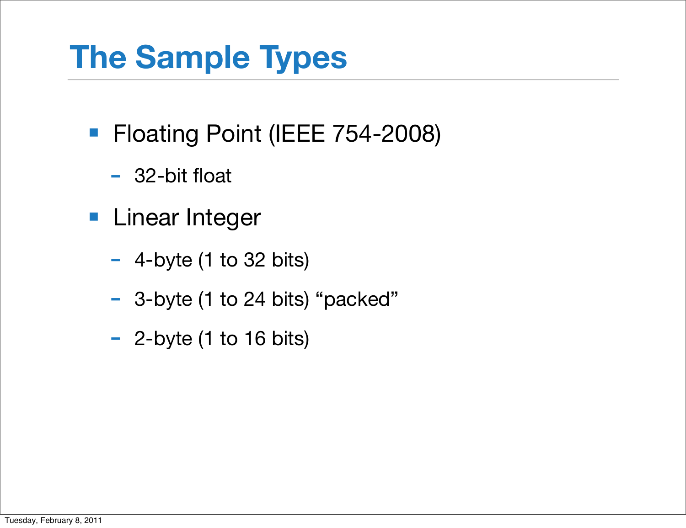# **The Sample Types**

- Floating Point (IEEE 754-2008)
	- 32-bit float
- Linear Integer
	- $-$  4-byte (1 to 32 bits)
	- 3-byte (1 to 24 bits) "packed"
	- 2-byte (1 to 16 bits)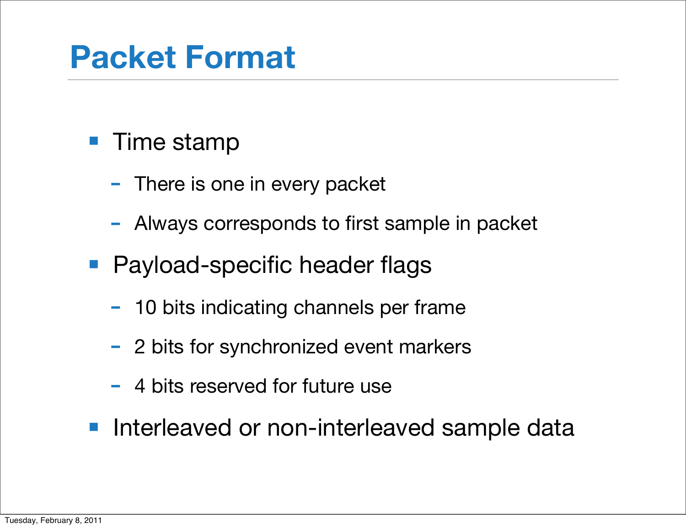### **Packet Format**

#### ■ Time stamp

- There is one in every packet
- Always corresponds to first sample in packet
- Payload-specific header flags
	- 10 bits indicating channels per frame
	- 2 bits for synchronized event markers
	- 4 bits reserved for future use
- Interleaved or non-interleaved sample data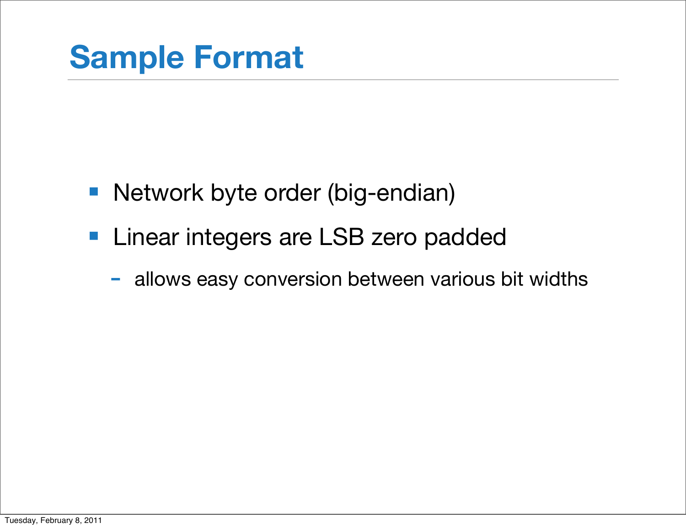- Network byte order (big-endian)
- Linear integers are LSB zero padded
	- allows easy conversion between various bit widths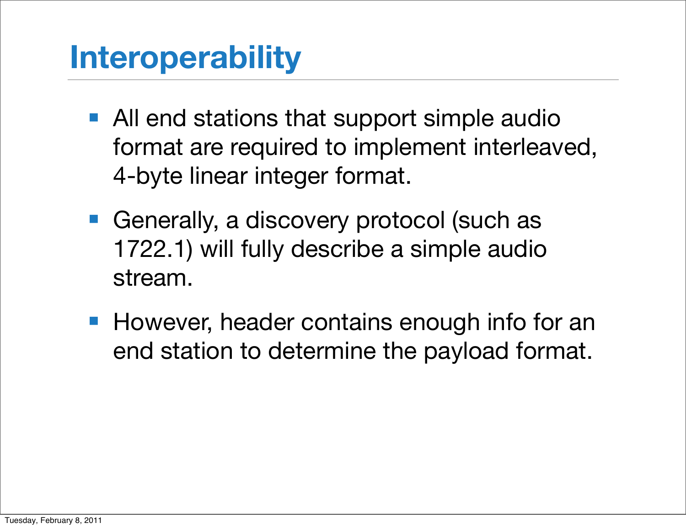# **Interoperability**

- All end stations that support simple audio format are required to implement interleaved, 4-byte linear integer format.
- Generally, a discovery protocol (such as 1722.1) will fully describe a simple audio stream.
- However, header contains enough info for an end station to determine the payload format.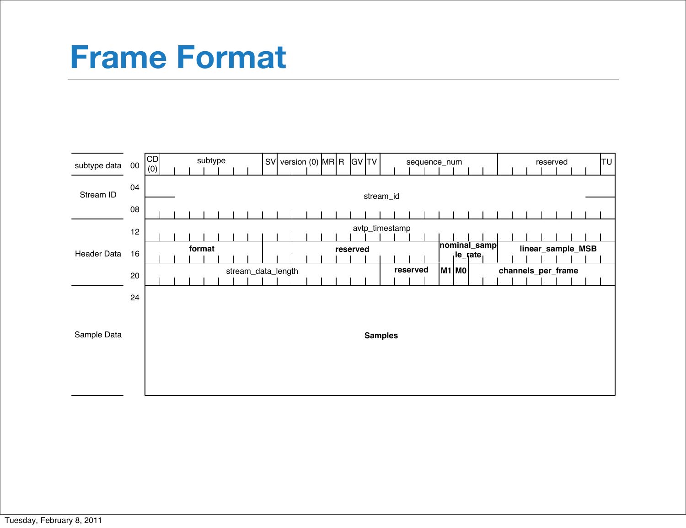#### **Frame Format**

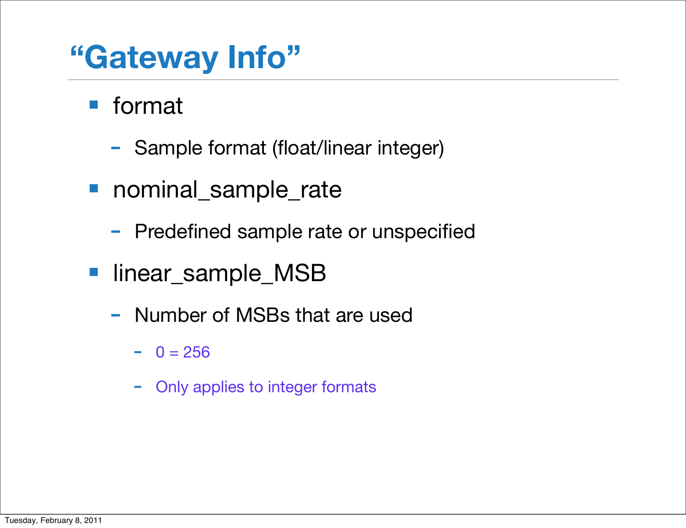### **"Gateway Info"**

■ format

- Sample format (float/linear integer)
- nominal\_sample\_rate
	- Predefined sample rate or unspecified
- linear\_sample\_MSB
	- Number of MSBs that are used
		- $0 = 256$
		- Only applies to integer formats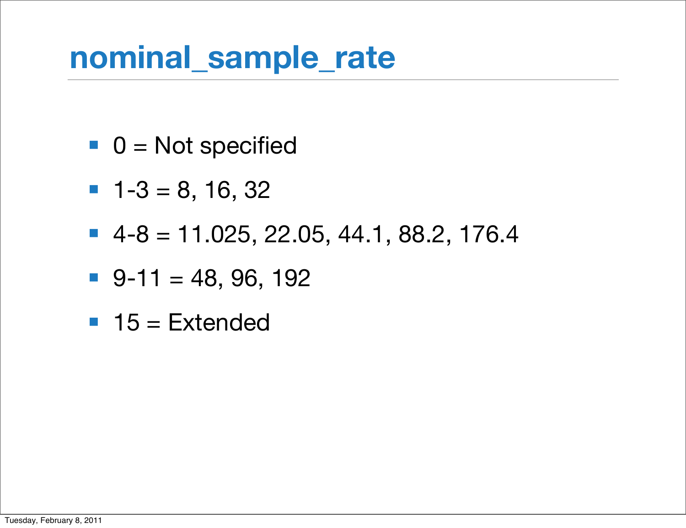#### **nominal\_sample\_rate**

- $\blacksquare$  0 = Not specified
- $-1-3 = 8, 16, 32$
- $-4-8 = 11.025, 22.05, 44.1, 88.2, 176.4$
- $\blacksquare$  9-11 = 48, 96, 192
- $\blacksquare$  15 = Extended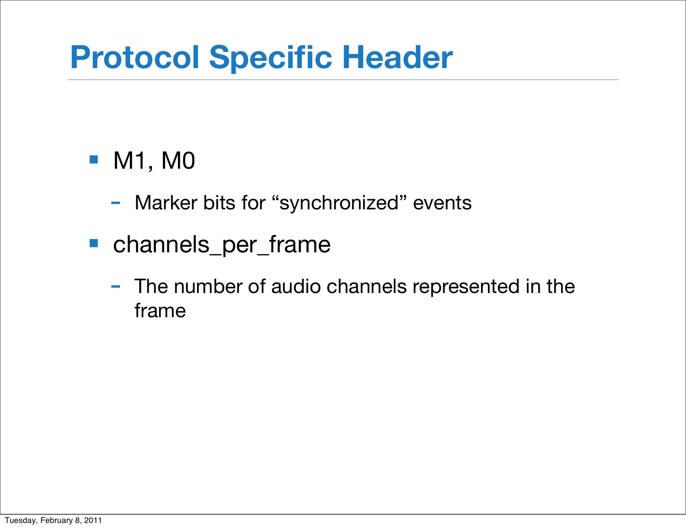# **Protocol Specific Header**

#### ■ M1, M0

- Marker bits for "synchronized" events
- channels\_per\_frame
	- The number of audio channels represented in the frame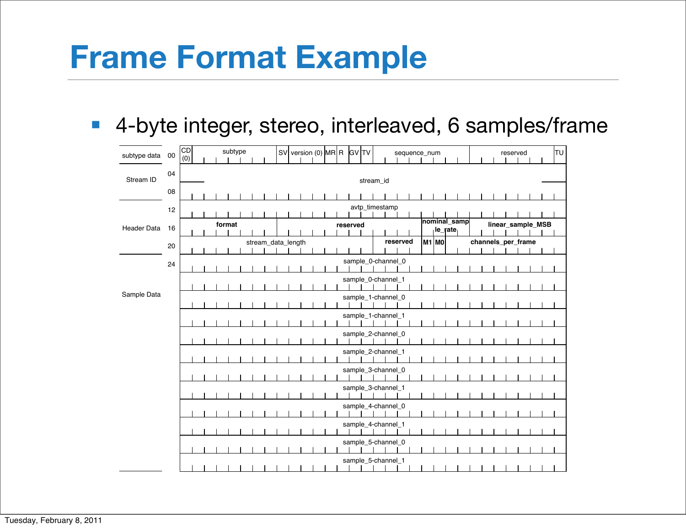#### **Frame Format Example**

■ 4-byte integer, stereo, interleaved, 6 samples/frame

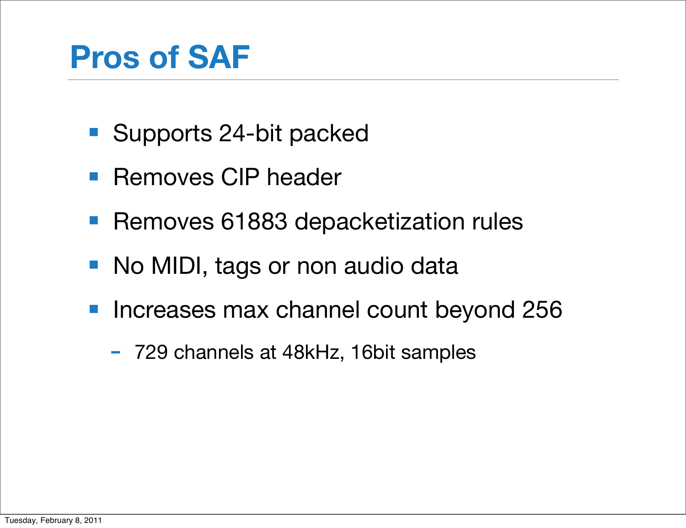# **Pros of SAF**

- Supports 24-bit packed
- Removes CIP header
- Removes 61883 depacketization rules
- No MIDI, tags or non audio data
- Increases max channel count beyond 256
	- 729 channels at 48kHz, 16bit samples